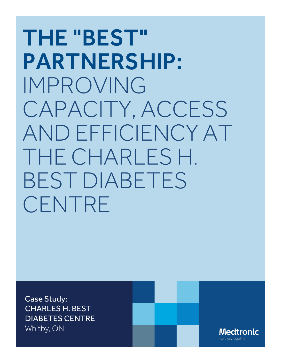# THE "BEST" PARTNERSHIP: IMPROVING CAPACITY, ACCESS AND EFFICIENCY AT THE CHARLES H. BEST DIABETES CENTRE

Case Study: CHARLES H. BEST DIABETES CENTRE Whitby, ON

**Medtronic**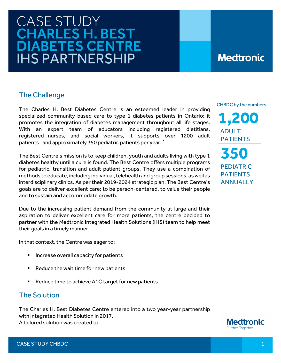## CASE STUDY<br>CHARLES H. BEST DIABETES CENTRE IHS PARTNERSHIP

### **Medtronic**

#### The Challenge

The Charles H. Best Diabetes Centre is an esteemed leader in providing specialized community-based care to type 1 diabetes patients in Ontario; it promotes the integration of diabetes management throughout all life stages. With an expert team of educators including registered dietitians, registered nurses, and social workers, it supports over 1200 adult patients and approximately 350 pediatric patients per year. \*

The Best Centre's mission is to keep children, youth and adults living with type 1 diabetes healthy until a cure is found. The Best Centre offers multiple programs for pediatric, transition and adult patient groups. They use a combination of methods to educate, including individual, telehealth and group sessions, as well as interdisciplinary clinics. As per their 2019-2024 strategic plan, The Best Centre's goals are to deliver excellent care; to be person-centered, to value their people and to sustain and accommodate growth.

Due to the increasing patient demand from the community at large and their aspiration to deliver excellent care for more patients, the centre decided to partner with the Medtronic Integrated Health Solutions (IHS) team to help meet their goals in a timely manner.

In that context, the Centre was eager to:

- **Increase overall capacity for patients**
- Reduce the wait time for new patients
- Reduce time to achieve A1C target for new patients

#### The Solution

The Charles H. Best Diabetes Centre entered into a two year-year partnership with Integrated Health Solution in 2017. A tailored solution was created to:



CHBDC by the numbers

**1,200 ADULT**  PATIENTS **350** PEDIATRIC PATIENTS **ANNUALLY**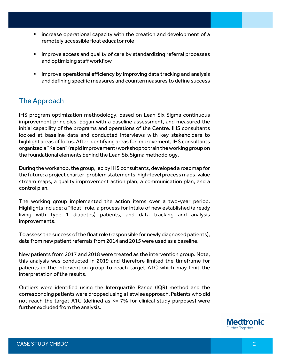- **Example 2** increase operational capacity with the creation and development of a remotely accessible float educator role
- **If** improve access and quality of care by standardizing referral processes and optimizing staff workflow
- **I** improve operational efficiency by improving data tracking and analysis and defining specific measures and countermeasures to define success

#### The Approach

IHS program optimization methodology, based on Lean Six Sigma continuous improvement principles, began with a baseline assessment, and measured the initial capability of the programs and operations of the Centre. IHS consultants looked at baseline data and conducted interviews with key stakeholders to highlight areas of focus. After identifying areas for improvement, IHS consultants organized a "Kaizen" (rapid improvement) workshop to train the working group on the foundational elements behind the Lean Six Sigma methodology.

During the workshop, the group, led by IHS consultants, developed a roadmap for the future: a project charter, problem statements, high-level process maps, value stream maps, a quality improvement action plan, a communication plan, and a control plan.

The working group implemented the action items over a two-year period. Highlights include: a "float" role, a process for intake of new established (already living with type 1 diabetes) patients, and data tracking and analysis improvements.

To assess the success of the float role (responsible for newly diagnosed patients), data from new patient referrals from 2014 and 2015 were used as a baseline.

New patients from 2017 and 2018 were treated as the intervention group. Note, this analysis was conducted in 2019 and therefore limited the timeframe for patients in the intervention group to reach target A1C which may limit the interpretation of the results.

Outliers were identified using the Interquartile Range (IQR) method and the corresponding patients were dropped using a listwise approach. Patients who did not reach the target A1C (defined as <= 7% for clinical study purposes) were further excluded from the analysis.